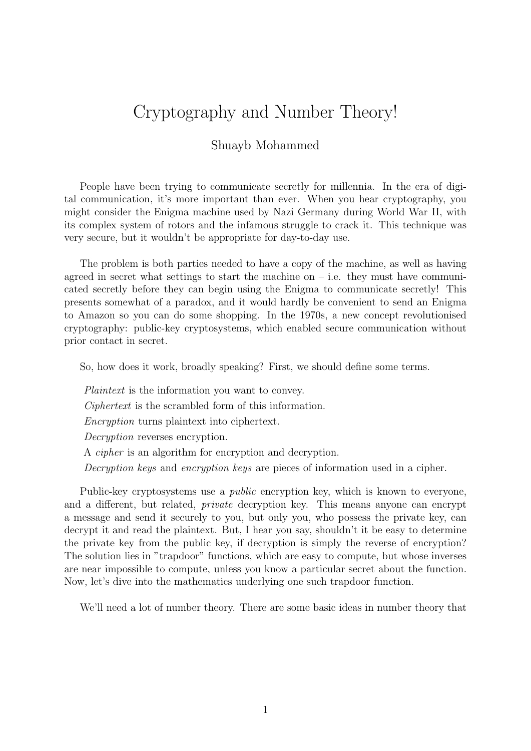## Cryptography and Number Theory!

## Shuayb Mohammed

People have been trying to communicate secretly for millennia. In the era of digital communication, it's more important than ever. When you hear cryptography, you might consider the Enigma machine used by Nazi Germany during World War II, with its complex system of rotors and the infamous struggle to crack it. This technique was very secure, but it wouldn't be appropriate for day-to-day use.

The problem is both parties needed to have a copy of the machine, as well as having agreed in secret what settings to start the machine on  $-$  i.e. they must have communicated secretly before they can begin using the Enigma to communicate secretly! This presents somewhat of a paradox, and it would hardly be convenient to send an Enigma to Amazon so you can do some shopping. In the 1970s, a new concept revolutionised cryptography: public-key cryptosystems, which enabled secure communication without prior contact in secret.

So, how does it work, broadly speaking? First, we should define some terms.

Plaintext is the information you want to convey.

Ciphertext is the scrambled form of this information.

Encryption turns plaintext into ciphertext.

Decryption reverses encryption.

A cipher is an algorithm for encryption and decryption.

Decryption keys and encryption keys are pieces of information used in a cipher.

Public-key cryptosystems use a public encryption key, which is known to everyone, and a different, but related, private decryption key. This means anyone can encrypt a message and send it securely to you, but only you, who possess the private key, can decrypt it and read the plaintext. But, I hear you say, shouldn't it be easy to determine the private key from the public key, if decryption is simply the reverse of encryption? The solution lies in "trapdoor" functions, which are easy to compute, but whose inverses are near impossible to compute, unless you know a particular secret about the function. Now, let's dive into the mathematics underlying one such trapdoor function.

We'll need a lot of number theory. There are some basic ideas in number theory that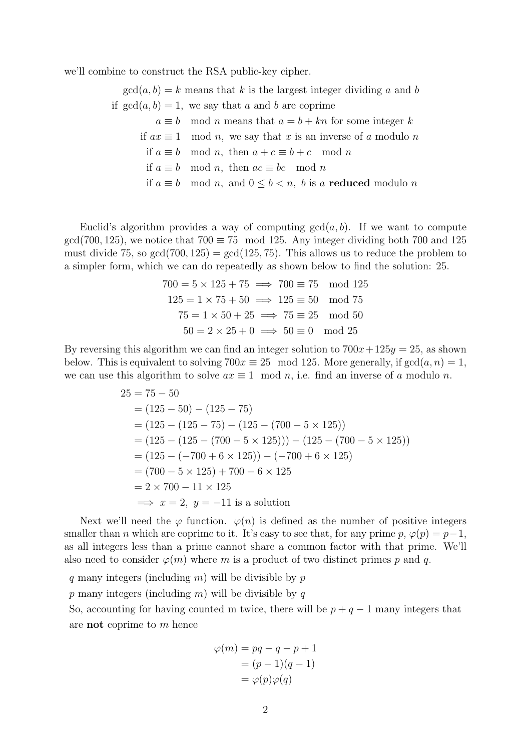we'll combine to construct the RSA public-key cipher.

 $gcd(a, b) = k$  means that k is the largest integer dividing a and b if  $gcd(a, b) = 1$ , we say that a and b are coprime  $a \equiv b \mod n$  means that  $a = b + kn$  for some integer k if  $ax \equiv 1 \mod n$ , we say that x is an inverse of a modulo n if  $a \equiv b \mod n$ , then  $a + c \equiv b + c \mod n$ if  $a \equiv b \mod n$ , then  $ac \equiv bc \mod n$ if  $a \equiv b \mod n$ , and  $0 \le b < n$ , b is a **reduced** modulo n

Euclid's algorithm provides a way of computing  $gcd(a, b)$ . If we want to compute  $gcd(700, 125)$ , we notice that  $700 \equiv 75 \mod 125$ . Any integer dividing both 700 and 125 must divide 75, so  $gcd(700, 125) = gcd(125, 75)$ . This allows us to reduce the problem to a simpler form, which we can do repeatedly as shown below to find the solution: 25.

$$
700 = 5 \times 125 + 75 \implies 700 \equiv 75 \mod 125
$$
  

$$
125 = 1 \times 75 + 50 \implies 125 \equiv 50 \mod 75
$$
  

$$
75 = 1 \times 50 + 25 \implies 75 \equiv 25 \mod 50
$$
  

$$
50 = 2 \times 25 + 0 \implies 50 \equiv 0 \mod 25
$$

By reversing this algorithm we can find an integer solution to  $700x+125y=25$ , as shown below. This is equivalent to solving  $700x \equiv 25 \mod 125$ . More generally, if  $gcd(a, n) = 1$ , we can use this algorithm to solve  $ax \equiv 1 \mod n$ , i.e. find an inverse of a modulo n.

$$
25 = 75 - 50
$$
  
= (125 - 50) - (125 - 75)  
= (125 - (125 - 75) - (125 - (700 - 5 \times 125))  
= (125 - (125 - (700 - 5 \times 125))) - (125 - (700 - 5 \times 125))  
= (125 - (-700 + 6 \times 125)) - (-700 + 6 \times 125)  
= (700 - 5 \times 125) + 700 - 6 \times 125  
= 2 \times 700 - 11 \times 125  
Longrightarrow x = 2, y = -11 is a solution

Next we'll need the  $\varphi$  function.  $\varphi(n)$  is defined as the number of positive integers smaller than *n* which are coprime to it. It's easy to see that, for any prime  $p, \varphi(p) = p-1$ , as all integers less than a prime cannot share a common factor with that prime. We'll also need to consider  $\varphi(m)$  where m is a product of two distinct primes p and q.

q many integers (including  $m$ ) will be divisible by  $p$ p many integers (including m) will be divisible by q So, accounting for having counted m twice, there will be  $p + q - 1$  many integers that are not coprime to m hence

$$
\varphi(m) = pq - q - p + 1
$$
  
=  $(p - 1)(q - 1)$   
=  $\varphi(p)\varphi(q)$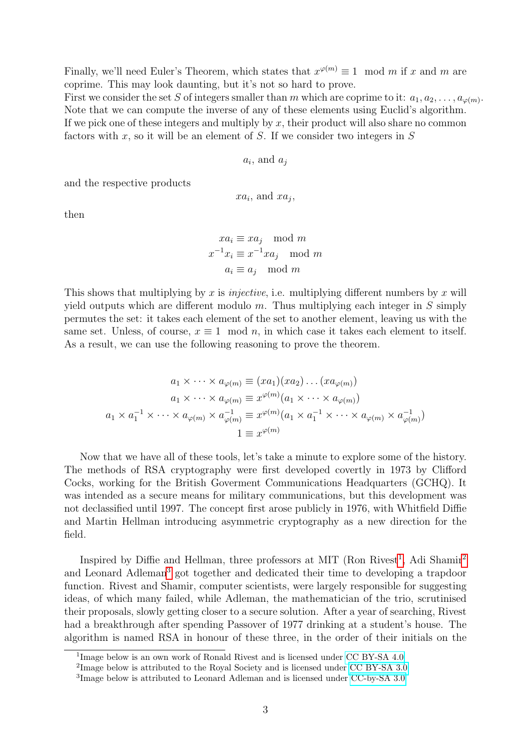Finally, we'll need Euler's Theorem, which states that  $x^{\varphi(m)} \equiv 1 \mod m$  if x and m are coprime. This may look daunting, but it's not so hard to prove.

First we consider the set S of integers smaller than m which are coprime to it:  $a_1, a_2, \ldots, a_{\varphi(m)}$ . Note that we can compute the inverse of any of these elements using Euclid's algorithm. If we pick one of these integers and multiply by  $x$ , their product will also share no common factors with x, so it will be an element of S. If we consider two integers in  $S$ 

$$
a_i
$$
, and  $a_j$ 

and the respective products

$$
xa_i
$$
, and  $xa_j$ ,

then

 $xa_i \equiv xa_i \mod m$  $x^{-1}x_i \equiv x^{-1}xa_j \mod m$  $a_i \equiv a_j \mod m$ 

This shows that multiplying by x is *injective*, i.e. multiplying different numbers by x will yield outputs which are different modulo  $m$ . Thus multiplying each integer in  $S$  simply permutes the set: it takes each element of the set to another element, leaving us with the same set. Unless, of course,  $x \equiv 1 \mod n$ , in which case it takes each element to itself. As a result, we can use the following reasoning to prove the theorem.

$$
a_1 \times \cdots \times a_{\varphi(m)} \equiv (xa_1)(xa_2) \dots (xa_{\varphi(m)})
$$

$$
a_1 \times \cdots \times a_{\varphi(m)} \equiv x^{\varphi(m)}(a_1 \times \cdots \times a_{\varphi(m)})
$$

$$
a_1 \times a_1^{-1} \times \cdots \times a_{\varphi(m)} \times a_{\varphi(m)}^{-1} \equiv x^{\varphi(m)}(a_1 \times a_1^{-1} \times \cdots \times a_{\varphi(m)} \times a_{\varphi(m)}^{-1})
$$

$$
1 \equiv x^{\varphi(m)}
$$

Now that we have all of these tools, let's take a minute to explore some of the history. The methods of RSA cryptography were first developed covertly in 1973 by Clifford Cocks, working for the British Goverment Communications Headquarters (GCHQ). It was intended as a secure means for military communications, but this development was not declassified until 1997. The concept first arose publicly in 1976, with Whitfield Diffie and Martin Hellman introducing asymmetric cryptography as a new direction for the field.

Inspired by Diffie and Hellman, three professors at MIT (Ron Rivest<sup>[1](#page-2-0)</sup>, Adi Shamir<sup>[2](#page-2-1)</sup> and Leonard Adleman<sup>[3](#page-2-2)</sup> got together and dedicated their time to developing a trapdoor function. Rivest and Shamir, computer scientists, were largely responsible for suggesting ideas, of which many failed, while Adleman, the mathematician of the trio, scrutinised their proposals, slowly getting closer to a secure solution. After a year of searching, Rivest had a breakthrough after spending Passover of 1977 drinking at a student's house. The algorithm is named RSA in honour of these three, in the order of their initials on the

<span id="page-2-0"></span><sup>&</sup>lt;sup>1</sup>Image below is an own work of Ronald Rivest and is licensed under [CC BY-SA 4.0](https://creativecommons.org/licenses/by-sa/4.0/legalcode)

<span id="page-2-1"></span><sup>&</sup>lt;sup>2</sup>Image below is attributed to the Royal Society and is licensed under [CC BY-SA 3.0](https://creativecommons.org/licenses/by-sa/3.0/legalcode)

<span id="page-2-2"></span><sup>&</sup>lt;sup>3</sup>Image below is attributed to Leonard Adleman and is licensed under [CC-by-SA 3.0](https://creativecommons.org/licenses/by-sa/3.0/legalcode)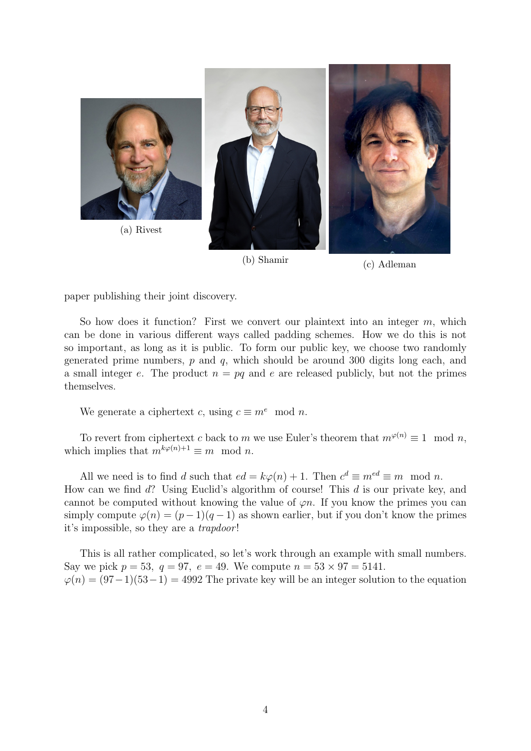

(b) Shamir (c) Adleman

paper publishing their joint discovery.

So how does it function? First we convert our plaintext into an integer  $m$ , which can be done in various different ways called padding schemes. How we do this is not so important, as long as it is public. To form our public key, we choose two randomly generated prime numbers,  $p$  and  $q$ , which should be around 300 digits long each, and a small integer e. The product  $n = pq$  and e are released publicly, but not the primes themselves.

We generate a ciphertext c, using  $c \equiv m^e \mod n$ .

To revert from ciphertext c back to m we use Euler's theorem that  $m^{\varphi(n)} \equiv 1 \mod n$ , which implies that  $m^{k\varphi(n)+1} \equiv m \mod n$ .

All we need is to find d such that  $ed = k\varphi(n) + 1$ . Then  $c^d \equiv m^{ed} \equiv m \mod n$ . How can we find d? Using Euclid's algorithm of course! This d is our private key, and cannot be computed without knowing the value of  $\varphi n$ . If you know the primes you can simply compute  $\varphi(n) = (p-1)(q-1)$  as shown earlier, but if you don't know the primes it's impossible, so they are a trapdoor !

This is all rather complicated, so let's work through an example with small numbers. Say we pick  $p = 53$ ,  $q = 97$ ,  $e = 49$ . We compute  $n = 53 \times 97 = 5141$ .  $\varphi(n) = (97-1)(53-1) = 4992$  The private key will be an integer solution to the equation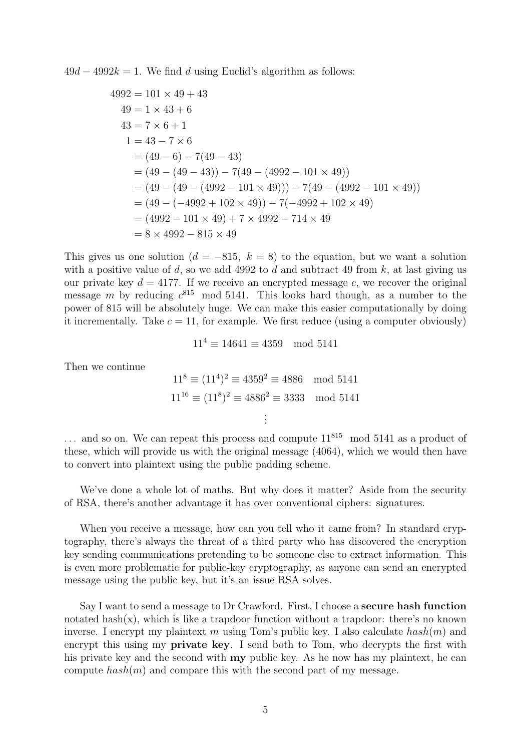$49d - 4992k = 1$ . We find d using Euclid's algorithm as follows:

$$
4992 = 101 \times 49 + 43
$$
  
\n
$$
49 = 1 \times 43 + 6
$$
  
\n
$$
43 = 7 \times 6 + 1
$$
  
\n
$$
1 = 43 - 7 \times 6
$$
  
\n
$$
= (49 - 6) - 7(49 - 43)
$$
  
\n
$$
= (49 - (49 - 43)) - 7(49 - (4992 - 101 \times 49))
$$
  
\n
$$
= (49 - (49 - (4992 - 101 \times 49))) - 7(49 - (4992 - 101 \times 49))
$$
  
\n
$$
= (49 - (-4992 + 102 \times 49)) - 7(-4992 + 102 \times 49)
$$
  
\n
$$
= (4992 - 101 \times 49) + 7 \times 4992 - 714 \times 49
$$
  
\n
$$
= 8 \times 4992 - 815 \times 49
$$

This gives us one solution  $(d = -815, k = 8)$  to the equation, but we want a solution with a positive value of d, so we add 4992 to d and subtract 49 from k, at last giving us our private key  $d = 4177$ . If we receive an encrypted message c, we recover the original message m by reducing  $c^{815}$  mod 5141. This looks hard though, as a number to the power of 815 will be absolutely huge. We can make this easier computationally by doing it incrementally. Take  $c = 11$ , for example. We first reduce (using a computer obviously)

$$
11^4 \equiv 14641 \equiv 4359 \mod 5141
$$

Then we continue

$$
118 \equiv (114)2 \equiv 43592 \equiv 4886 \mod 5141
$$
  

$$
1116 \equiv (118)2 \equiv 48862 \equiv 3333 \mod 5141
$$
  
:\n
$$
\vdots
$$

 $\ldots$  and so on. We can repeat this process and compute  $11^{815}$  mod 5141 as a product of these, which will provide us with the original message (4064), which we would then have to convert into plaintext using the public padding scheme.

We've done a whole lot of maths. But why does it matter? Aside from the security of RSA, there's another advantage it has over conventional ciphers: signatures.

When you receive a message, how can you tell who it came from? In standard cryptography, there's always the threat of a third party who has discovered the encryption key sending communications pretending to be someone else to extract information. This is even more problematic for public-key cryptography, as anyone can send an encrypted message using the public key, but it's an issue RSA solves.

Say I want to send a message to Dr Crawford. First, I choose a secure hash function notated hash $(x)$ , which is like a trapdoor function without a trapdoor: there's no known inverse. I encrypt my plaintext m using Tom's public key. I also calculate  $hash(m)$  and encrypt this using my **private key**. I send both to Tom, who decrypts the first with his private key and the second with my public key. As he now has my plaintext, he can compute  $hash(m)$  and compare this with the second part of my message.